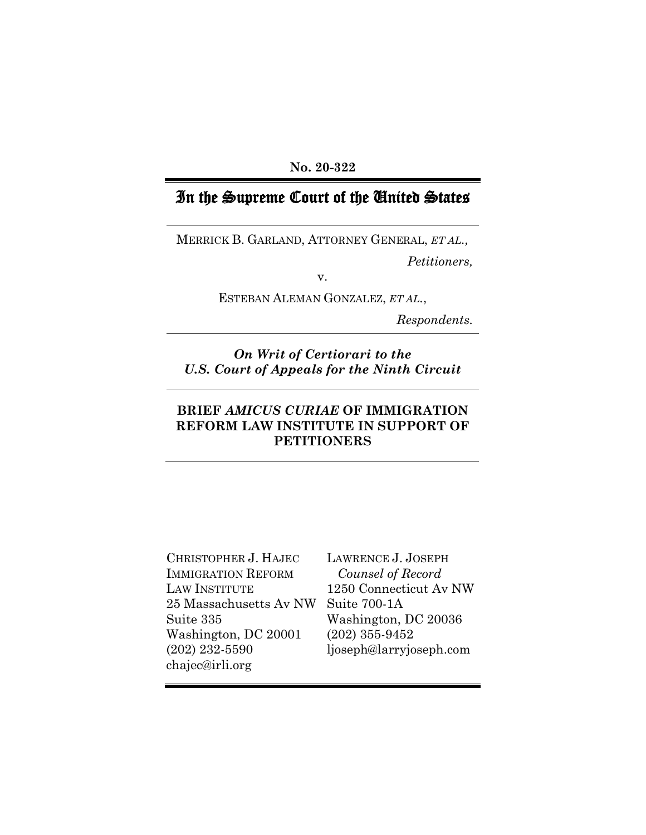#### **No. 20-322**

# In the Supreme Court of the United States

MERRICK B. GARLAND, ATTORNEY GENERAL, *ET AL., Petitioners,*

v.

ESTEBAN ALEMAN GONZALEZ, *ET AL.*,

*Respondents.*

*On Writ of Certiorari to the U.S. Court of Appeals for the Ninth Circuit*

## **BRIEF** *AMICUS CURIAE* **OF IMMIGRATION REFORM LAW INSTITUTE IN SUPPORT OF PETITIONERS**

CHRISTOPHER J. HAJEC IMMIGRATION REFORM LAW INSTITUTE 25 Massachusetts Av NW Suite 335 Washington, DC 20001 (202) 232-5590 chajec@irli.org

LAWRENCE J. JOSEPH *Counsel of Record* 1250 Connecticut Av NW Suite 700-1A Washington, DC 20036 (202) 355-9452 ljoseph@larryjoseph.com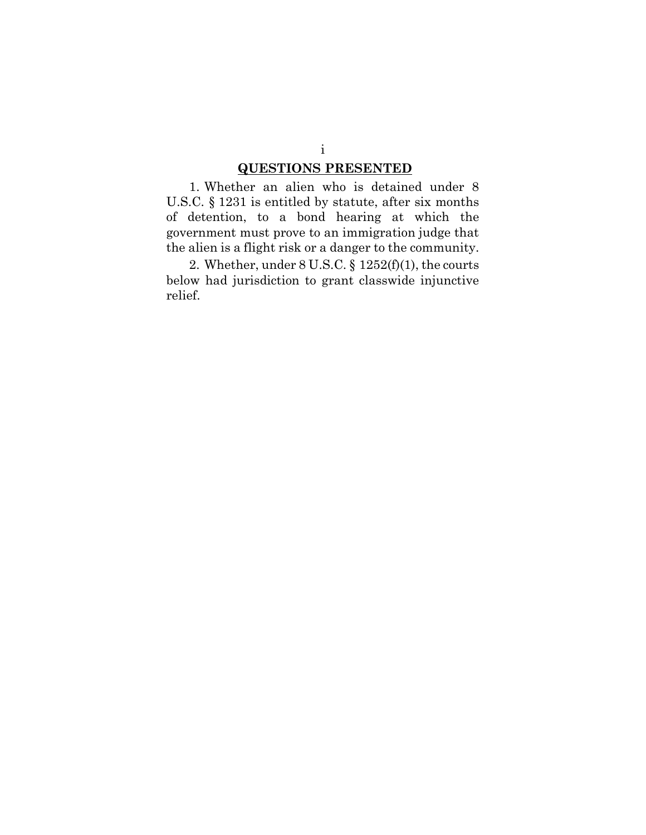## **QUESTIONS PRESENTED**

1. Whether an alien who is detained under 8 U.S.C. § 1231 is entitled by statute, after six months of detention, to a bond hearing at which the government must prove to an immigration judge that the alien is a flight risk or a danger to the community.

2. Whether, under 8 U.S.C. § 1252(f)(1), the courts below had jurisdiction to grant classwide injunctive relief.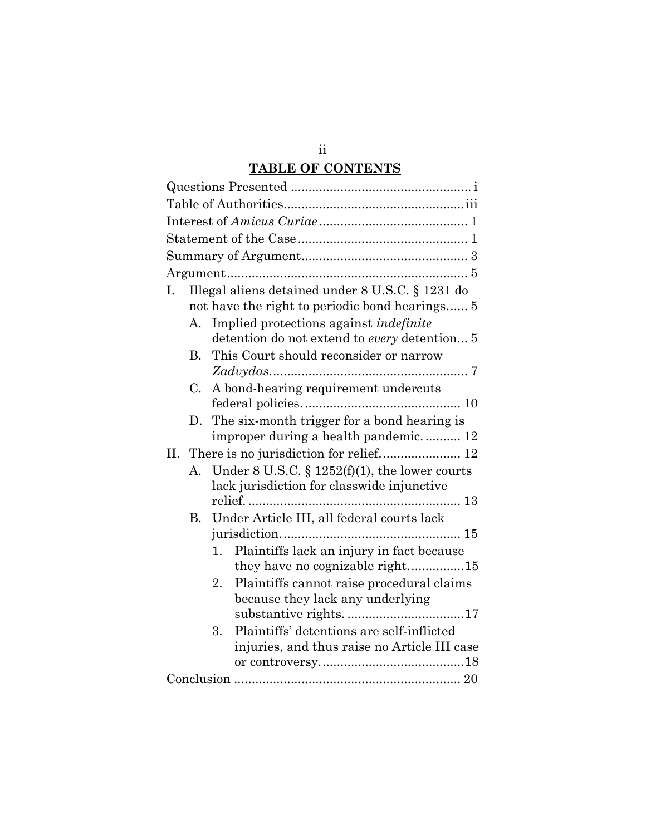# **TABLE OF CONTENTS**

| Ι.                                                       | Illegal aliens detained under 8 U.S.C. § 1231 do            |                                                           |  |  |  |  |
|----------------------------------------------------------|-------------------------------------------------------------|-----------------------------------------------------------|--|--|--|--|
|                                                          | not have the right to periodic bond hearings 5              |                                                           |  |  |  |  |
|                                                          | A.                                                          | Implied protections against <i>indefinite</i>             |  |  |  |  |
|                                                          |                                                             | detention do not extend to every detention 5              |  |  |  |  |
| This Court should reconsider or narrow<br>B <sub>r</sub> |                                                             |                                                           |  |  |  |  |
|                                                          |                                                             |                                                           |  |  |  |  |
| $C_{\cdot}$<br>A bond-hearing requirement undercuts      |                                                             |                                                           |  |  |  |  |
|                                                          | D.                                                          |                                                           |  |  |  |  |
|                                                          | The six-month trigger for a bond hearing is                 |                                                           |  |  |  |  |
| improper during a health pandemic 12                     |                                                             |                                                           |  |  |  |  |
| $\Pi$ .                                                  |                                                             |                                                           |  |  |  |  |
|                                                          | Under 8 U.S.C. $\S$ 1252(f)(1), the lower courts<br>$A_{-}$ |                                                           |  |  |  |  |
|                                                          |                                                             | lack jurisdiction for classwide injunctive                |  |  |  |  |
|                                                          | В.                                                          |                                                           |  |  |  |  |
|                                                          |                                                             | Under Article III, all federal courts lack                |  |  |  |  |
|                                                          |                                                             | Plaintiffs lack an injury in fact because<br>$1_{\ldots}$ |  |  |  |  |
|                                                          |                                                             | they have no cognizable right15                           |  |  |  |  |
|                                                          |                                                             | Plaintiffs cannot raise procedural claims<br>2.           |  |  |  |  |
|                                                          |                                                             | because they lack any underlying                          |  |  |  |  |
|                                                          |                                                             |                                                           |  |  |  |  |
|                                                          |                                                             | Plaintiffs' detentions are self-inflicted<br>3.           |  |  |  |  |
|                                                          |                                                             | injuries, and thus raise no Article III case              |  |  |  |  |
|                                                          |                                                             |                                                           |  |  |  |  |
|                                                          |                                                             |                                                           |  |  |  |  |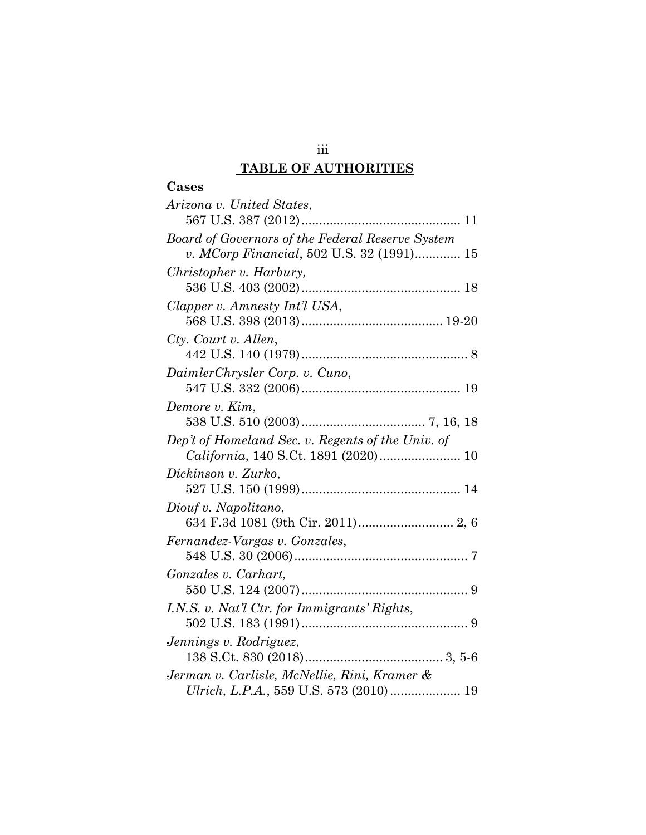# **TABLE OF AUTHORITIES**

| ısı<br>c<br>Н |
|---------------|
|---------------|

| Arizona v. United States,                         |
|---------------------------------------------------|
|                                                   |
| Board of Governors of the Federal Reserve System  |
| v. MCorp Financial, 502 U.S. 32 (1991) 15         |
| Christopher v. Harbury,                           |
|                                                   |
| Clapper v. Amnesty Int'l USA,                     |
|                                                   |
| Cty. Court v. Allen,                              |
|                                                   |
| DaimlerChrysler Corp. v. Cuno,                    |
|                                                   |
| Demore v. Kim,                                    |
|                                                   |
| Dep't of Homeland Sec. v. Regents of the Univ. of |
| California, 140 S.Ct. 1891 (2020) 10              |
| Dickinson v. Zurko,                               |
|                                                   |
| Diouf v. Napolitano,                              |
|                                                   |
| Fernandez-Vargas v. Gonzales,                     |
|                                                   |
| Gonzales v. Carhart,                              |
|                                                   |
| I.N.S. v. Nat'l Ctr. for Immigrants' Rights,      |
|                                                   |
| Jennings v. Rodriguez,                            |
|                                                   |
| Jerman v. Carlisle, McNellie, Rini, Kramer &      |
|                                                   |

iii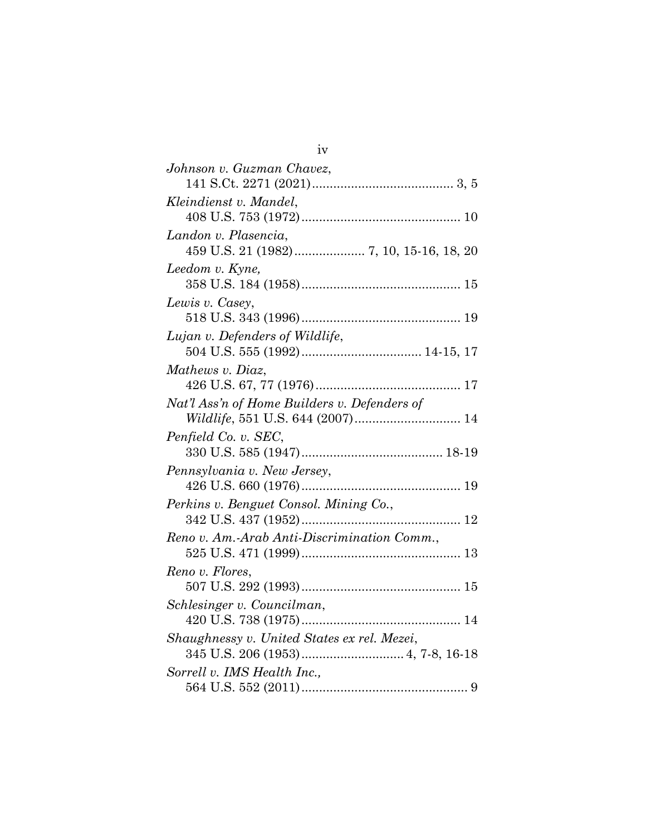| iv                                           |
|----------------------------------------------|
| Johnson v. Guzman Chavez,                    |
|                                              |
| Kleindienst v. Mandel,                       |
|                                              |
| Landon v. Plasencia,                         |
|                                              |
| Leedom v. Kyne,                              |
|                                              |
| Lewis v. Casey,                              |
|                                              |
| Lujan v. Defenders of Wildlife,              |
|                                              |
| Mathews v. Diaz.                             |
|                                              |
| Nat'l Ass'n of Home Builders v. Defenders of |
|                                              |
| Penfield Co. v. SEC,                         |
|                                              |
| Pennsylvania v. New Jersey,                  |
|                                              |
| Perkins v. Benguet Consol. Mining Co.,       |
| Reno v. Am.-Arab Anti-Discrimination Comm.,  |
|                                              |
| Reno v. Flores,                              |
|                                              |
| Schlesinger v. Councilman,                   |
|                                              |
| Shaughnessy v. United States ex rel. Mezei,  |
|                                              |
| Sorrell v. IMS Health Inc.,                  |
|                                              |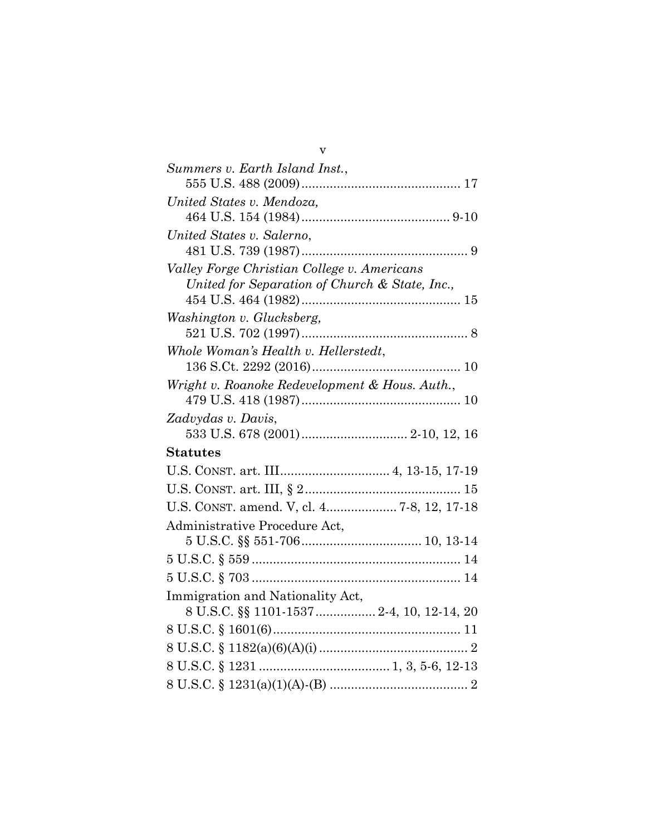| Summers v. Earth Island Inst.,                 |
|------------------------------------------------|
| United States v. Mendoza,                      |
|                                                |
| United States v. Salerno,                      |
|                                                |
| Valley Forge Christian College v. Americans    |
| United for Separation of Church & State, Inc., |
|                                                |
| Washington v. Glucksberg,                      |
| Whole Woman's Health v. Hellerstedt,           |
|                                                |
| Wright v. Roanoke Redevelopment & Hous. Auth., |
|                                                |
| Zadvydas v. Davis,                             |
|                                                |
| <b>Statutes</b>                                |
|                                                |
|                                                |
| U.S. CONST. amend. V, cl. 4 7-8, 12, 17-18     |
| Administrative Procedure Act,                  |
|                                                |
|                                                |
|                                                |
| Immigration and Nationality Act,               |
| 8 U.S.C. §§ 1101-1537 2-4, 10, 12-14, 20       |
|                                                |
|                                                |
|                                                |
|                                                |

v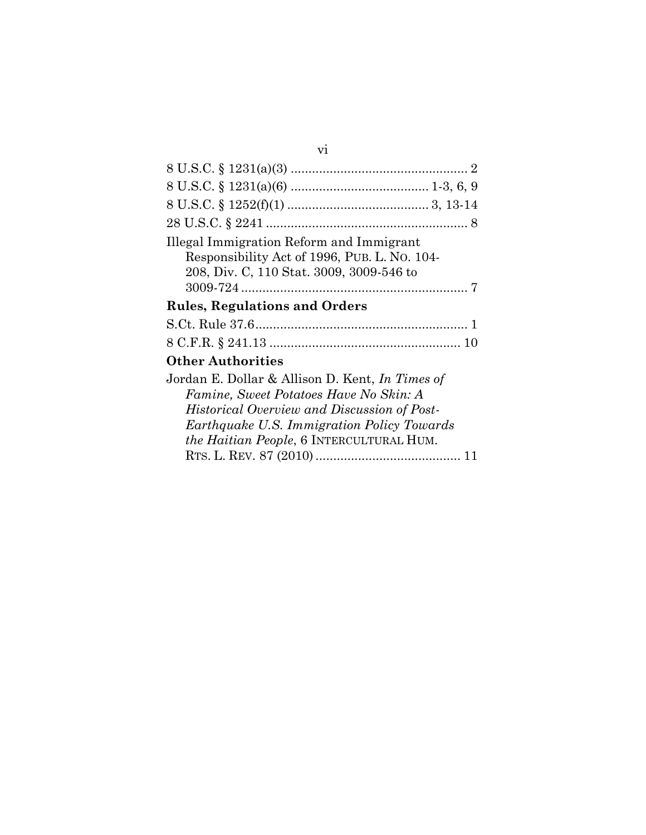| Illegal Immigration Reform and Immigrant<br>Responsibility Act of 1996, PUB. L. No. 104-<br>208, Div. C, 110 Stat. 3009, 3009-546 to                                                                                                              |
|---------------------------------------------------------------------------------------------------------------------------------------------------------------------------------------------------------------------------------------------------|
| <b>Rules, Regulations and Orders</b>                                                                                                                                                                                                              |
|                                                                                                                                                                                                                                                   |
|                                                                                                                                                                                                                                                   |
| <b>Other Authorities</b>                                                                                                                                                                                                                          |
| Jordan E. Dollar & Allison D. Kent, In Times of<br>Famine, Sweet Potatoes Have No Skin: A<br><i>Historical Overview and Discussion of Post-</i><br>Earthquake U.S. Immigration Policy Towards<br><i>the Haitian People</i> , 6 INTERCULTURAL HUM. |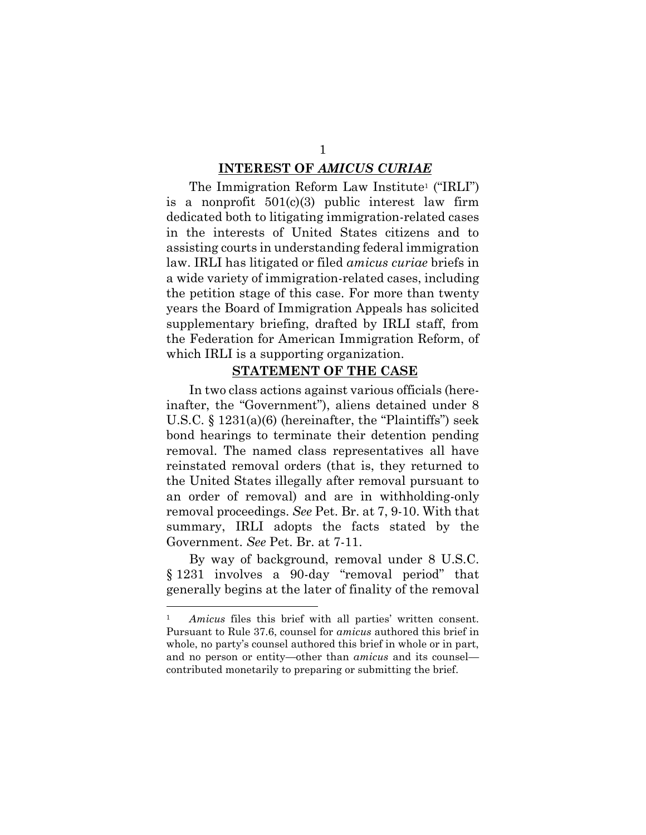### **INTEREST OF** *AMICUS CURIAE*

The Immigration Reform Law Institute<sup>1</sup> ("IRLI") is a nonprofit  $501(c)(3)$  public interest law firm dedicated both to litigating immigration-related cases in the interests of United States citizens and to assisting courts in understanding federal immigration law. IRLI has litigated or filed *amicus curiae* briefs in a wide variety of immigration-related cases, including the petition stage of this case. For more than twenty years the Board of Immigration Appeals has solicited supplementary briefing, drafted by IRLI staff, from the Federation for American Immigration Reform, of which IRLI is a supporting organization.

#### **STATEMENT OF THE CASE**

In two class actions against various officials (hereinafter, the "Government"), aliens detained under 8 U.S.C. § 1231(a)(6) (hereinafter, the "Plaintiffs") seek bond hearings to terminate their detention pending removal. The named class representatives all have reinstated removal orders (that is, they returned to the United States illegally after removal pursuant to an order of removal) and are in withholding-only removal proceedings. *See* Pet. Br. at 7, 9-10. With that summary, IRLI adopts the facts stated by the Government. *See* Pet. Br. at 7-11.

By way of background, removal under 8 U.S.C. § 1231 involves a 90-day "removal period" that generally begins at the later of finality of the removal

<sup>1</sup> *Amicus* files this brief with all parties' written consent. Pursuant to Rule 37.6, counsel for *amicus* authored this brief in whole, no party's counsel authored this brief in whole or in part, and no person or entity—other than *amicus* and its counsel contributed monetarily to preparing or submitting the brief.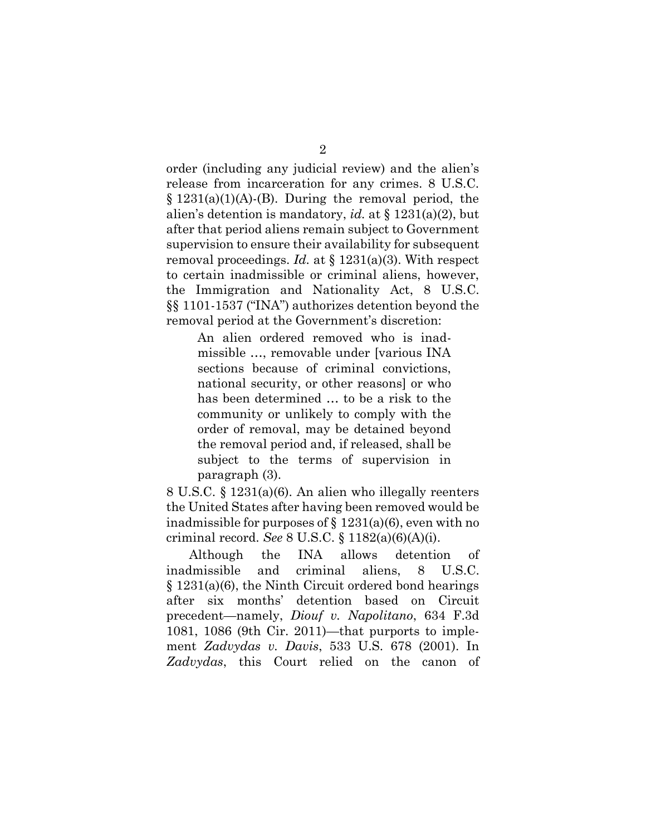order (including any judicial review) and the alien's release from incarceration for any crimes. 8 U.S.C.  $§ 1231(a)(1)(A)-(B)$ . During the removal period, the alien's detention is mandatory, *id.* at § 1231(a)(2), but after that period aliens remain subject to Government supervision to ensure their availability for subsequent removal proceedings. *Id.* at § 1231(a)(3). With respect to certain inadmissible or criminal aliens, however, the Immigration and Nationality Act, 8 U.S.C. §§ 1101-1537 ("INA") authorizes detention beyond the removal period at the Government's discretion:

An alien ordered removed who is inadmissible …, removable under [various INA sections because of criminal convictions, national security, or other reasons] or who has been determined … to be a risk to the community or unlikely to comply with the order of removal, may be detained beyond the removal period and, if released, shall be subject to the terms of supervision in paragraph (3).

8 U.S.C. § 1231(a)(6). An alien who illegally reenters the United States after having been removed would be inadmissible for purposes of  $\S 1231(a)(6)$ , even with no criminal record. *See* 8 U.S.C. § 1182(a)(6)(A)(i).

Although the INA allows detention of inadmissible and criminal aliens, 8 U.S.C. § 1231(a)(6), the Ninth Circuit ordered bond hearings after six months' detention based on Circuit precedent—namely, *Diouf v. Napolitano*, 634 F.3d 1081, 1086 (9th Cir. 2011)—that purports to implement *Zadvydas v. Davis*, 533 U.S. 678 (2001). In *Zadvydas*, this Court relied on the canon of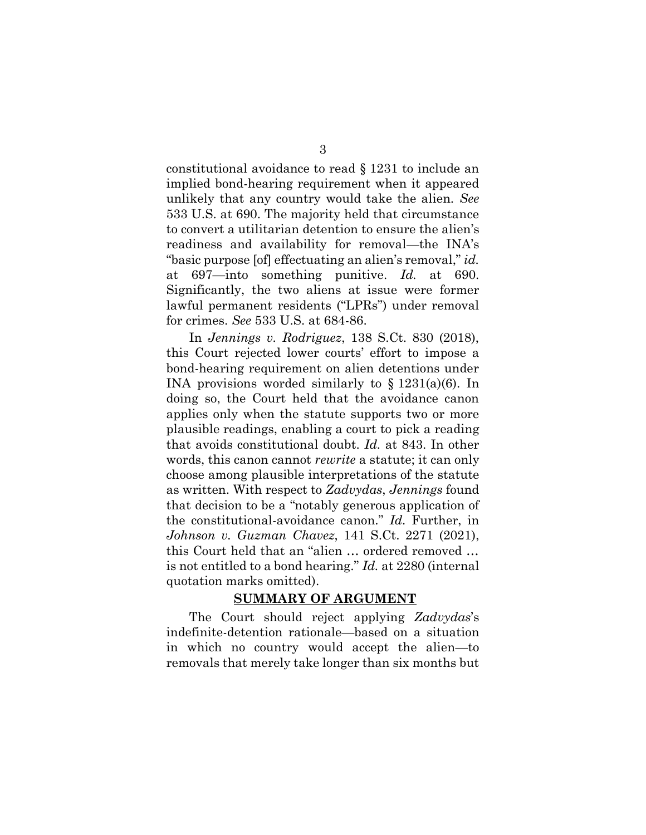constitutional avoidance to read § 1231 to include an implied bond-hearing requirement when it appeared unlikely that any country would take the alien. *See* 533 U.S. at 690. The majority held that circumstance to convert a utilitarian detention to ensure the alien's readiness and availability for removal—the INA's "basic purpose [of] effectuating an alien's removal," *id.* at 697—into something punitive. *Id.* at 690. Significantly, the two aliens at issue were former lawful permanent residents ("LPRs") under removal for crimes. *See* 533 U.S. at 684-86.

In *Jennings v. Rodriguez*, 138 S.Ct. 830 (2018), this Court rejected lower courts' effort to impose a bond-hearing requirement on alien detentions under INA provisions worded similarly to § 1231(a)(6). In doing so, the Court held that the avoidance canon applies only when the statute supports two or more plausible readings, enabling a court to pick a reading that avoids constitutional doubt. *Id.* at 843. In other words, this canon cannot *rewrite* a statute; it can only choose among plausible interpretations of the statute as written. With respect to *Zadvydas*, *Jennings* found that decision to be a "notably generous application of the constitutional-avoidance canon." *Id.* Further, in *Johnson v. Guzman Chavez*, 141 S.Ct. 2271 (2021), this Court held that an "alien … ordered removed … is not entitled to a bond hearing." *Id.* at 2280 (internal quotation marks omitted).

#### **SUMMARY OF ARGUMENT**

The Court should reject applying *Zadvydas*'s indefinite-detention rationale—based on a situation in which no country would accept the alien—to removals that merely take longer than six months but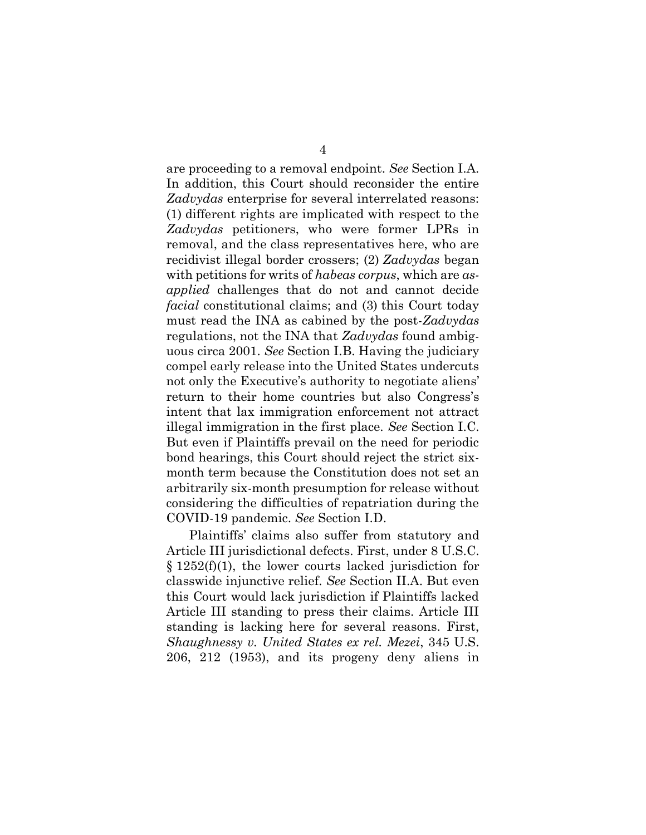are proceeding to a removal endpoint. *See* Section [I.A.](#page-11-0) In addition, this Court should reconsider the entire *Zadvydas* enterprise for several interrelated reasons: (1) different rights are implicated with respect to the *Zadvydas* petitioners, who were former LPRs in removal, and the class representatives here, who are recidivist illegal border crossers; (2) *Zadvydas* began with petitions for writs of *habeas corpus*, which are *asapplied* challenges that do not and cannot decide *facial* constitutional claims; and (3) this Court today must read the INA as cabined by the post-*Zadvydas*  regulations, not the INA that *Zadvydas* found ambiguous circa 2001. *See* Section [I.B.](#page-13-0) Having the judiciary compel early release into the United States undercuts not only the Executive's authority to negotiate aliens' return to their home countries but also Congress's intent that lax immigration enforcement not attract illegal immigration in the first place. *See* Section [I.C.](#page-16-0) But even if Plaintiffs prevail on the need for periodic bond hearings, this Court should reject the strict sixmonth term because the Constitution does not set an arbitrarily six-month presumption for release without considering the difficulties of repatriation during the COVID-19 pandemic. *See* Section [I.D.](#page-18-0)

Plaintiffs' claims also suffer from statutory and Article III jurisdictional defects. First, under 8 U.S.C. § 1252(f)(1), the lower courts lacked jurisdiction for classwide injunctive relief. *See* Section [II.A.](#page-19-0) But even this Court would lack jurisdiction if Plaintiffs lacked Article III standing to press their claims. Article III standing is lacking here for several reasons. First, *Shaughnessy v. United States ex rel. Mezei*, 345 U.S. 206, 212 (1953), and its progeny deny aliens in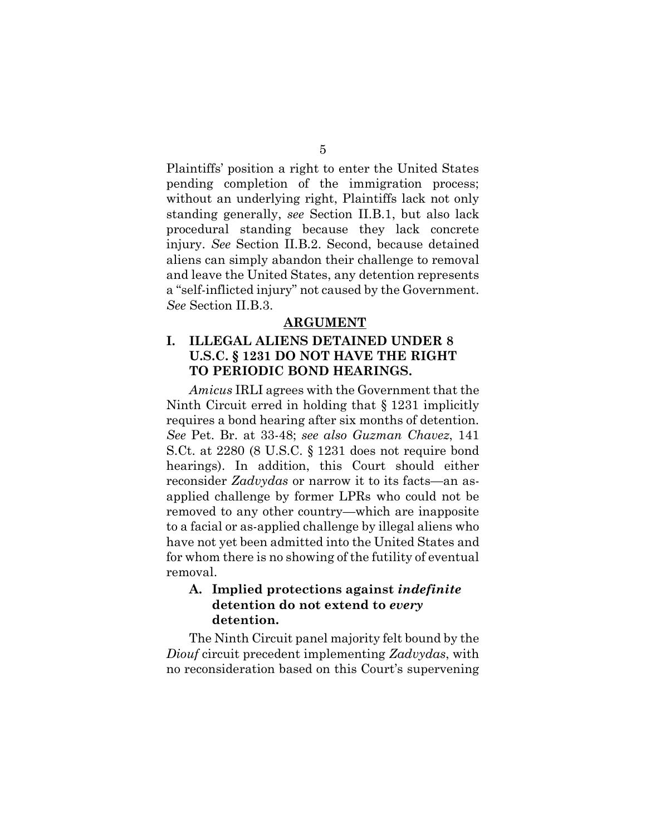Plaintiffs' position a right to enter the United States pending completion of the immigration process; without an underlying right, Plaintiffs lack not only standing generally, *see* Section [II.B.1,](#page-21-0) but also lack procedural standing because they lack concrete injury. *See* Section [II.B.2.](#page-23-0) Second, because detained aliens can simply abandon their challenge to removal and leave the United States, any detention represents a "self-inflicted injury" not caused by the Government. *See* Section [II.B.3.](#page-24-0)

#### **ARGUMENT**

## **I. ILLEGAL ALIENS DETAINED UNDER 8 U.S.C. § 1231 DO NOT HAVE THE RIGHT TO PERIODIC BOND HEARINGS.**

*Amicus* IRLI agrees with the Government that the Ninth Circuit erred in holding that § 1231 implicitly requires a bond hearing after six months of detention. *See* Pet. Br. at 33-48; *see also Guzman Chavez*, 141 S.Ct. at 2280 (8 U.S.C. § 1231 does not require bond hearings). In addition, this Court should either reconsider *Zadvydas* or narrow it to its facts—an asapplied challenge by former LPRs who could not be removed to any other country—which are inapposite to a facial or as-applied challenge by illegal aliens who have not yet been admitted into the United States and for whom there is no showing of the futility of eventual removal.

## <span id="page-11-0"></span>**A. Implied protections against** *indefinite* **detention do not extend to** *every* **detention.**

The Ninth Circuit panel majority felt bound by the *Diouf* circuit precedent implementing *Zadvydas*, with no reconsideration based on this Court's supervening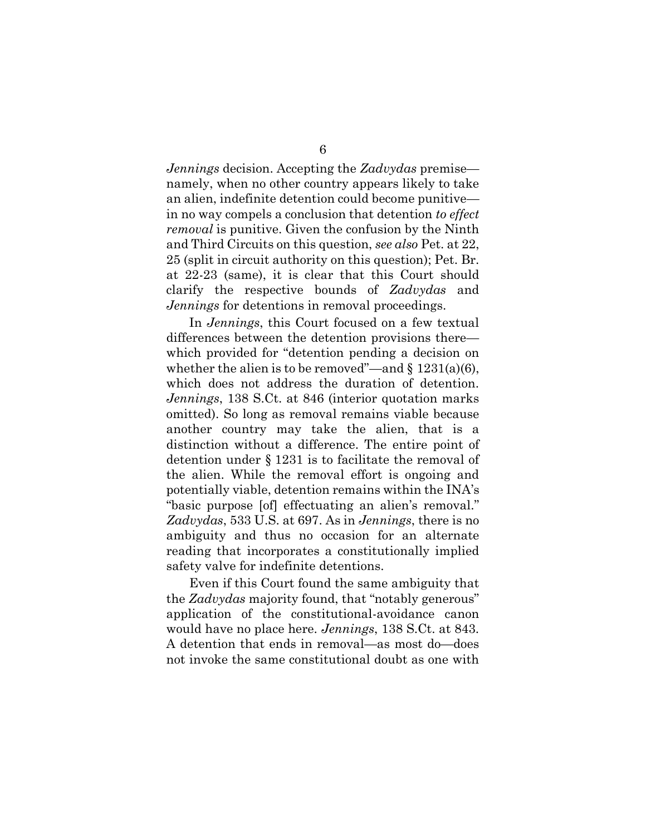*Jennings* decision. Accepting the *Zadvydas* premise namely, when no other country appears likely to take an alien, indefinite detention could become punitive in no way compels a conclusion that detention *to effect removal* is punitive. Given the confusion by the Ninth and Third Circuits on this question, *see also* Pet. at 22, 25 (split in circuit authority on this question); Pet. Br. at 22-23 (same), it is clear that this Court should clarify the respective bounds of *Zadvydas* and *Jennings* for detentions in removal proceedings.

In *Jennings*, this Court focused on a few textual differences between the detention provisions there which provided for "detention pending a decision on whether the alien is to be removed"—and  $\S$  1231(a)(6), which does not address the duration of detention. *Jennings*, 138 S.Ct. at 846 (interior quotation marks omitted). So long as removal remains viable because another country may take the alien, that is a distinction without a difference. The entire point of detention under § 1231 is to facilitate the removal of the alien. While the removal effort is ongoing and potentially viable, detention remains within the INA's "basic purpose [of] effectuating an alien's removal." *Zadvydas*, 533 U.S. at 697. As in *Jennings*, there is no ambiguity and thus no occasion for an alternate reading that incorporates a constitutionally implied safety valve for indefinite detentions.

Even if this Court found the same ambiguity that the *Zadvydas* majority found, that "notably generous" application of the constitutional-avoidance canon would have no place here. *Jennings*, 138 S.Ct. at 843. A detention that ends in removal—as most do—does not invoke the same constitutional doubt as one with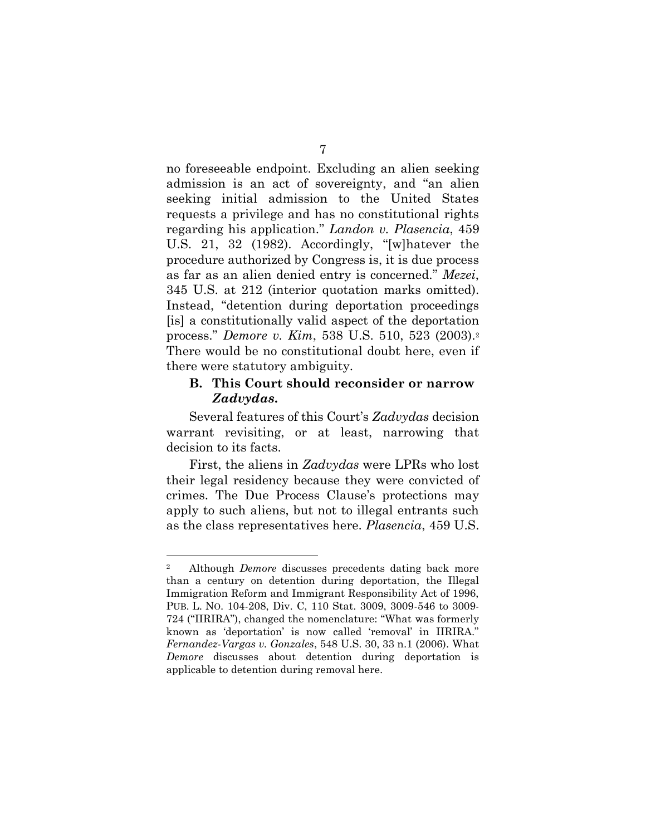no foreseeable endpoint. Excluding an alien seeking admission is an act of sovereignty, and "an alien seeking initial admission to the United States requests a privilege and has no constitutional rights regarding his application." *Landon v. Plasencia*, 459 U.S. 21, 32 (1982). Accordingly, "[w]hatever the procedure authorized by Congress is, it is due process as far as an alien denied entry is concerned." *Mezei*, 345 U.S. at 212 (interior quotation marks omitted). Instead, "detention during deportation proceedings [is] a constitutionally valid aspect of the deportation process." *Demore v. Kim*, 538 U.S. 510, 523 (2003).<sup>2</sup> There would be no constitutional doubt here, even if there were statutory ambiguity.

### <span id="page-13-0"></span>**B. This Court should reconsider or narrow**  *Zadvydas***.**

Several features of this Court's *Zadvydas* decision warrant revisiting, or at least, narrowing that decision to its facts.

First, the aliens in *Zadvydas* were LPRs who lost their legal residency because they were convicted of crimes. The Due Process Clause's protections may apply to such aliens, but not to illegal entrants such as the class representatives here. *Plasencia*, 459 U.S.

<sup>2</sup> Although *Demore* discusses precedents dating back more than a century on detention during deportation, the Illegal Immigration Reform and Immigrant Responsibility Act of 1996, PUB. L. NO. 104-208, Div. C, 110 Stat. 3009, 3009-546 to 3009- 724 ("IIRIRA"), changed the nomenclature: "What was formerly known as 'deportation' is now called 'removal' in IIRIRA." *Fernandez-Vargas v. Gonzales*, 548 U.S. 30, 33 n.1 (2006). What *Demore* discusses about detention during deportation is applicable to detention during removal here.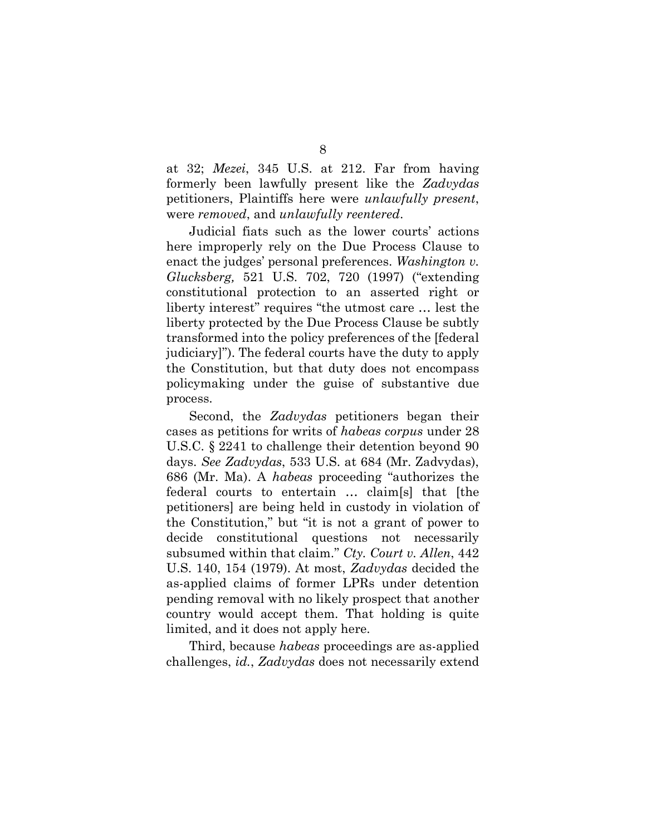at 32; *Mezei*, 345 U.S. at 212. Far from having formerly been lawfully present like the *Zadvydas* petitioners, Plaintiffs here were *unlawfully present*, were *removed*, and *unlawfully reentered*.

Judicial fiats such as the lower courts' actions here improperly rely on the Due Process Clause to enact the judges' personal preferences. *Washington v. Glucksberg,* 521 U.S. 702, 720 (1997) ("extending constitutional protection to an asserted right or liberty interest" requires "the utmost care … lest the liberty protected by the Due Process Clause be subtly transformed into the policy preferences of the [federal judiciary]"). The federal courts have the duty to apply the Constitution, but that duty does not encompass policymaking under the guise of substantive due process.

Second, the *Zadvydas* petitioners began their cases as petitions for writs of *habeas corpus* under 28 U.S.C. § 2241 to challenge their detention beyond 90 days. *See Zadvydas*, 533 U.S. at 684 (Mr. Zadvydas), 686 (Mr. Ma). A *habeas* proceeding "authorizes the federal courts to entertain … claim[s] that [the petitioners] are being held in custody in violation of the Constitution," but "it is not a grant of power to decide constitutional questions not necessarily subsumed within that claim." *Cty. Court v. Allen*, 442 U.S. 140, 154 (1979). At most, *Zadvydas* decided the as-applied claims of former LPRs under detention pending removal with no likely prospect that another country would accept them. That holding is quite limited, and it does not apply here.

Third, because *habeas* proceedings are as-applied challenges, *id.*, *Zadvydas* does not necessarily extend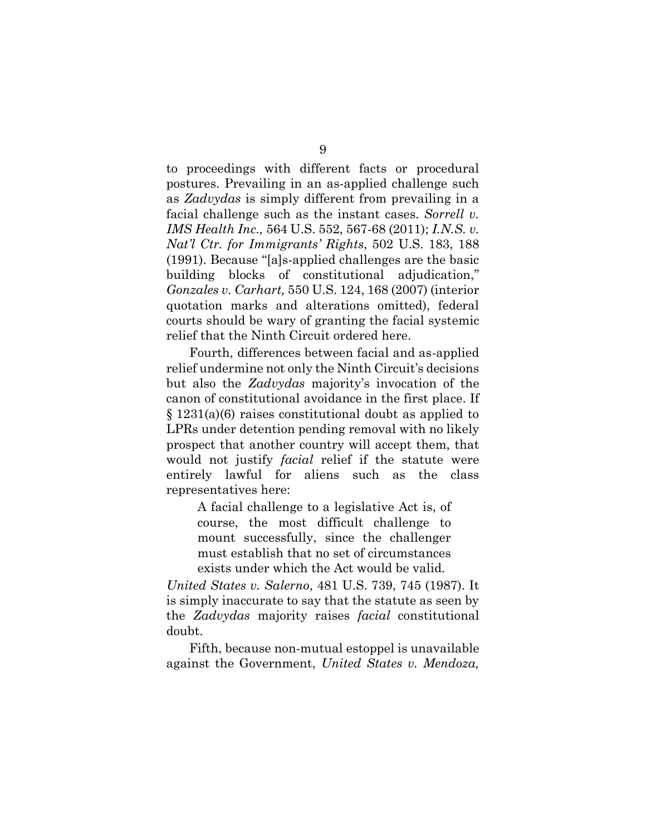to proceedings with different facts or procedural postures. Prevailing in an as-applied challenge such as *Zadvydas* is simply different from prevailing in a facial challenge such as the instant cases. *Sorrell v. IMS Health Inc.,* 564 U.S. 552, 567-68 (2011); *I.N.S. v. Nat'l Ctr. for Immigrants' Rights*, 502 U.S. 183, 188 (1991). Because "[a]s-applied challenges are the basic building blocks of constitutional adjudication," *Gonzales v. Carhart,* 550 U.S. 124, 168 (2007) (interior quotation marks and alterations omitted), federal courts should be wary of granting the facial systemic relief that the Ninth Circuit ordered here.

Fourth, differences between facial and as-applied relief undermine not only the Ninth Circuit's decisions but also the *Zadvydas* majority's invocation of the canon of constitutional avoidance in the first place. If § 1231(a)(6) raises constitutional doubt as applied to LPRs under detention pending removal with no likely prospect that another country will accept them, that would not justify *facial* relief if the statute were entirely lawful for aliens such as the class representatives here:

A facial challenge to a legislative Act is, of course, the most difficult challenge to mount successfully, since the challenger must establish that no set of circumstances exists under which the Act would be valid.

*United States v. Salerno*, 481 U.S. 739, 745 (1987). It is simply inaccurate to say that the statute as seen by the *Zadvydas* majority raises *facial* constitutional doubt.

Fifth, because non-mutual estoppel is unavailable against the Government, *United States v. Mendoza,*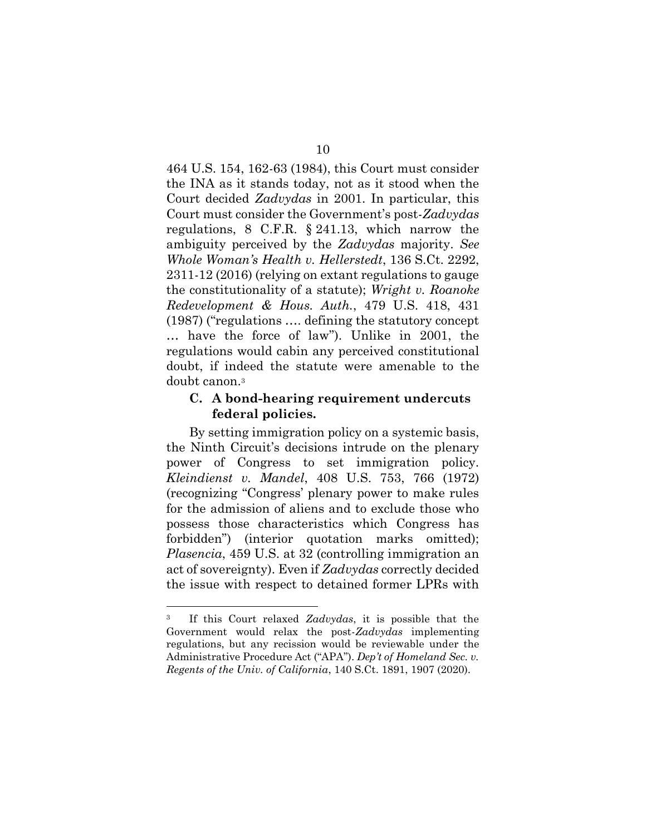464 U.S. 154, 162-63 (1984), this Court must consider the INA as it stands today, not as it stood when the Court decided *Zadvydas* in 2001. In particular, this Court must consider the Government's post-*Zadvydas* regulations, 8 C.F.R. § 241.13, which narrow the ambiguity perceived by the *Zadvydas* majority. *See Whole Woman's Health v. Hellerstedt*, 136 S.Ct. 2292, 2311-12 (2016) (relying on extant regulations to gauge the constitutionality of a statute); *Wright v. Roanoke Redevelopment & Hous. Auth.*, 479 U.S. 418, 431 (1987) ("regulations …. defining the statutory concept … have the force of law"). Unlike in 2001, the regulations would cabin any perceived constitutional doubt, if indeed the statute were amenable to the doubt canon. 3

#### <span id="page-16-0"></span>**C. A bond-hearing requirement undercuts federal policies.**

By setting immigration policy on a systemic basis, the Ninth Circuit's decisions intrude on the plenary power of Congress to set immigration policy. *Kleindienst v. Mandel*, 408 U.S. 753, 766 (1972) (recognizing "Congress' plenary power to make rules for the admission of aliens and to exclude those who possess those characteristics which Congress has forbidden") (interior quotation marks omitted); *Plasencia*, 459 U.S. at 32 (controlling immigration an act of sovereignty). Even if *Zadvydas* correctly decided the issue with respect to detained former LPRs with

<sup>3</sup> If this Court relaxed *Zadvydas*, it is possible that the Government would relax the post-*Zadvydas* implementing regulations, but any recission would be reviewable under the Administrative Procedure Act ("APA"). *Dep't of Homeland Sec. v. Regents of the Univ. of California*, 140 S.Ct. 1891, 1907 (2020).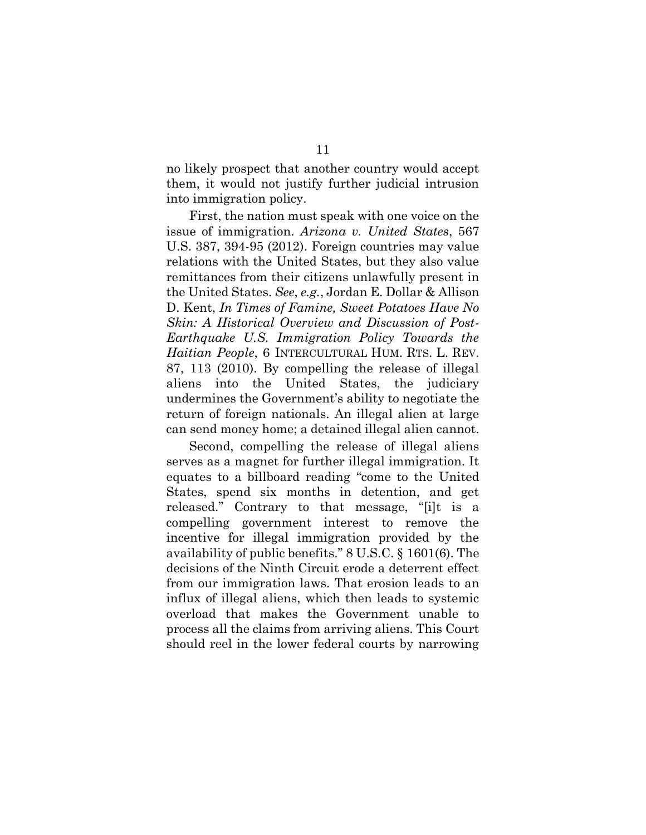no likely prospect that another country would accept them, it would not justify further judicial intrusion into immigration policy.

First, the nation must speak with one voice on the issue of immigration. *Arizona v. United States*, 567 U.S. 387, 394-95 (2012). Foreign countries may value relations with the United States, but they also value remittances from their citizens unlawfully present in the United States. *See*, *e.g.*, Jordan E. Dollar & Allison D. Kent, *In Times of Famine, Sweet Potatoes Have No Skin: A Historical Overview and Discussion of Post-Earthquake U.S. Immigration Policy Towards the Haitian People*, 6 INTERCULTURAL HUM. RTS. L. REV. 87, 113 (2010). By compelling the release of illegal aliens into the United States, the judiciary undermines the Government's ability to negotiate the return of foreign nationals. An illegal alien at large can send money home; a detained illegal alien cannot.

Second, compelling the release of illegal aliens serves as a magnet for further illegal immigration. It equates to a billboard reading "come to the United States, spend six months in detention, and get released." Contrary to that message, "[i]t is a compelling government interest to remove the incentive for illegal immigration provided by the availability of public benefits." 8 U.S.C. § 1601(6). The decisions of the Ninth Circuit erode a deterrent effect from our immigration laws. That erosion leads to an influx of illegal aliens, which then leads to systemic overload that makes the Government unable to process all the claims from arriving aliens. This Court should reel in the lower federal courts by narrowing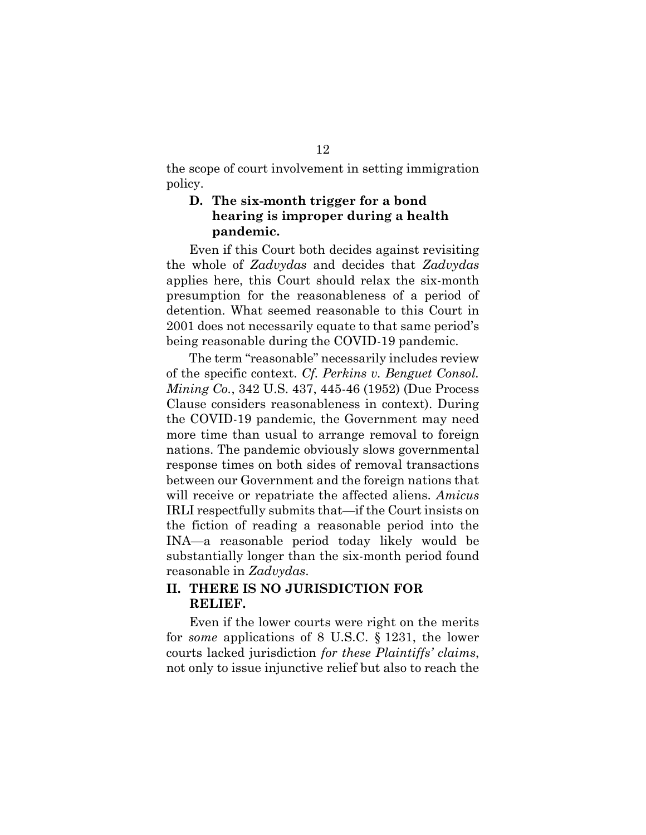the scope of court involvement in setting immigration policy.

## <span id="page-18-0"></span>**D. The six-month trigger for a bond hearing is improper during a health pandemic.**

Even if this Court both decides against revisiting the whole of *Zadvydas* and decides that *Zadvydas* applies here, this Court should relax the six-month presumption for the reasonableness of a period of detention. What seemed reasonable to this Court in 2001 does not necessarily equate to that same period's being reasonable during the COVID-19 pandemic.

The term "reasonable" necessarily includes review of the specific context. *Cf. Perkins v. Benguet Consol. Mining Co.*, 342 U.S. 437, 445-46 (1952) (Due Process Clause considers reasonableness in context). During the COVID-19 pandemic, the Government may need more time than usual to arrange removal to foreign nations. The pandemic obviously slows governmental response times on both sides of removal transactions between our Government and the foreign nations that will receive or repatriate the affected aliens. *Amicus*  IRLI respectfully submits that—if the Court insists on the fiction of reading a reasonable period into the INA—a reasonable period today likely would be substantially longer than the six-month period found reasonable in *Zadvydas*.

### **II. THERE IS NO JURISDICTION FOR RELIEF.**

Even if the lower courts were right on the merits for *some* applications of 8 U.S.C. § 1231, the lower courts lacked jurisdiction *for these Plaintiffs' claims*, not only to issue injunctive relief but also to reach the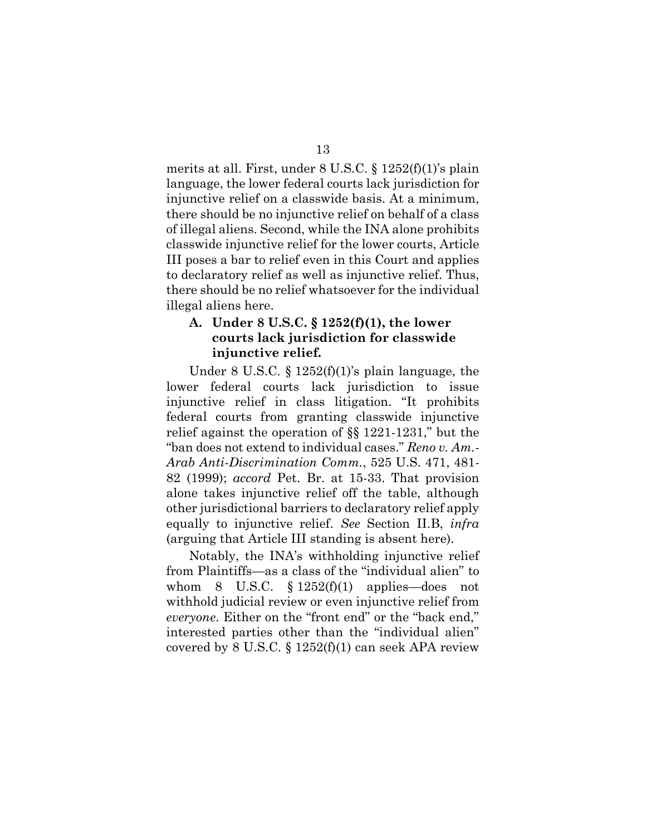merits at all. First, under 8 U.S.C. § 1252(f)(1)'s plain language, the lower federal courts lack jurisdiction for injunctive relief on a classwide basis. At a minimum, there should be no injunctive relief on behalf of a class of illegal aliens. Second, while the INA alone prohibits classwide injunctive relief for the lower courts, Article III poses a bar to relief even in this Court and applies to declaratory relief as well as injunctive relief. Thus, there should be no relief whatsoever for the individual illegal aliens here.

### <span id="page-19-0"></span>**A. Under 8 U.S.C. § 1252(f)(1), the lower courts lack jurisdiction for classwide injunctive relief.**

Under 8 U.S.C.  $\S 1252(f)(1)$ 's plain language, the lower federal courts lack jurisdiction to issue injunctive relief in class litigation. "It prohibits federal courts from granting classwide injunctive relief against the operation of §§ 1221-1231," but the "ban does not extend to individual cases." *Reno v. Am.- Arab Anti-Discrimination Comm.*, 525 U.S. 471, 481- 82 (1999); *accord* Pet. Br. at 15-33. That provision alone takes injunctive relief off the table, although other jurisdictional barriers to declaratory relief apply equally to injunctive relief. *See* Section [II.B,](#page-21-1) *infra* (arguing that Article III standing is absent here).

Notably, the INA's withholding injunctive relief from Plaintiffs—as a class of the "individual alien" to whom 8 U.S.C.  $\S 1252(f)(1)$  applies—does not withhold judicial review or even injunctive relief from *everyone*. Either on the "front end" or the "back end," interested parties other than the "individual alien" covered by 8 U.S.C. § 1252(f)(1) can seek APA review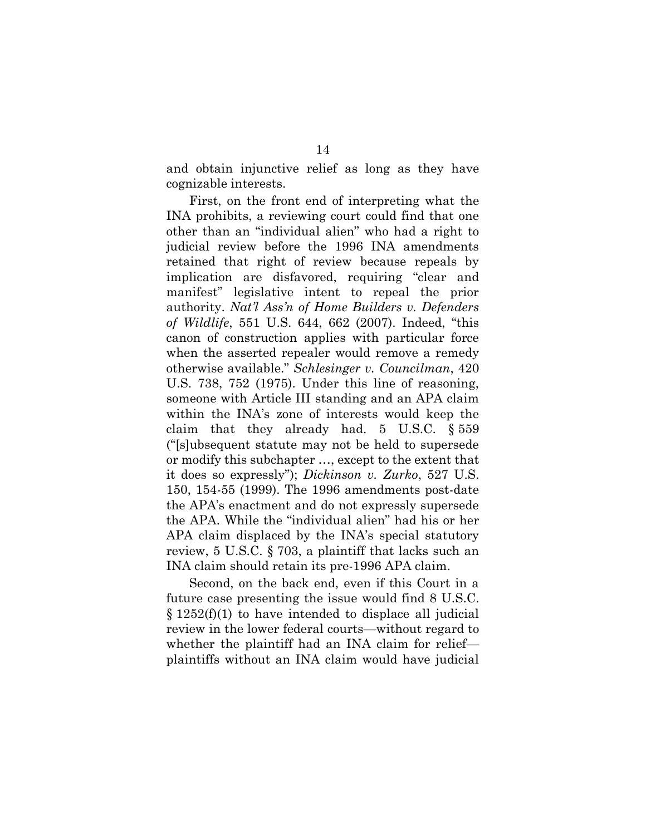and obtain injunctive relief as long as they have cognizable interests.

First, on the front end of interpreting what the INA prohibits, a reviewing court could find that one other than an "individual alien" who had a right to judicial review before the 1996 INA amendments retained that right of review because repeals by implication are disfavored, requiring "clear and manifest" legislative intent to repeal the prior authority. *Nat'l Ass'n of Home Builders v. Defenders of Wildlife*, 551 U.S. 644, 662 (2007). Indeed, "this canon of construction applies with particular force when the asserted repealer would remove a remedy otherwise available." *Schlesinger v. Councilman*, 420 U.S. 738, 752 (1975). Under this line of reasoning, someone with Article III standing and an APA claim within the INA's zone of interests would keep the claim that they already had. 5 U.S.C. § 559 ("[s]ubsequent statute may not be held to supersede or modify this subchapter …, except to the extent that it does so expressly"); *Dickinson v. Zurko*, 527 U.S. 150, 154-55 (1999). The 1996 amendments post-date the APA's enactment and do not expressly supersede the APA. While the "individual alien" had his or her APA claim displaced by the INA's special statutory review, 5 U.S.C. § 703, a plaintiff that lacks such an INA claim should retain its pre-1996 APA claim.

Second, on the back end, even if this Court in a future case presenting the issue would find 8 U.S.C. § 1252(f)(1) to have intended to displace all judicial review in the lower federal courts—without regard to whether the plaintiff had an INA claim for relief plaintiffs without an INA claim would have judicial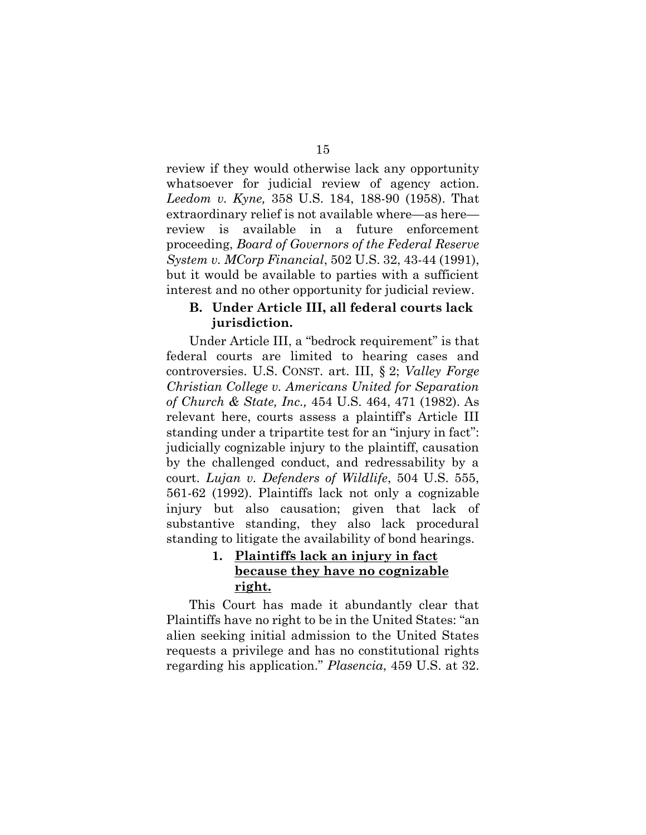review if they would otherwise lack any opportunity whatsoever for judicial review of agency action. *Leedom v. Kyne,* 358 U.S. 184, 188-90 (1958). That extraordinary relief is not available where—as here review is available in a future enforcement proceeding, *Board of Governors of the Federal Reserve System v. MCorp Financial*, 502 U.S. 32, 43-44 (1991), but it would be available to parties with a sufficient interest and no other opportunity for judicial review.

## <span id="page-21-1"></span>**B. Under Article III, all federal courts lack jurisdiction.**

Under Article III, a "bedrock requirement" is that federal courts are limited to hearing cases and controversies. U.S. CONST. art. III, § 2; *Valley Forge Christian College v. Americans United for Separation of Church & State, Inc.,* 454 U.S. 464, 471 (1982). As relevant here, courts assess a plaintiff's Article III standing under a tripartite test for an "injury in fact": judicially cognizable injury to the plaintiff, causation by the challenged conduct, and redressability by a court. *Lujan v. Defenders of Wildlife*, 504 U.S. 555, 561-62 (1992). Plaintiffs lack not only a cognizable injury but also causation; given that lack of substantive standing, they also lack procedural standing to litigate the availability of bond hearings.

# <span id="page-21-0"></span>**1. Plaintiffs lack an injury in fact because they have no cognizable right.**

This Court has made it abundantly clear that Plaintiffs have no right to be in the United States: "an alien seeking initial admission to the United States requests a privilege and has no constitutional rights regarding his application." *Plasencia*, 459 U.S. at 32.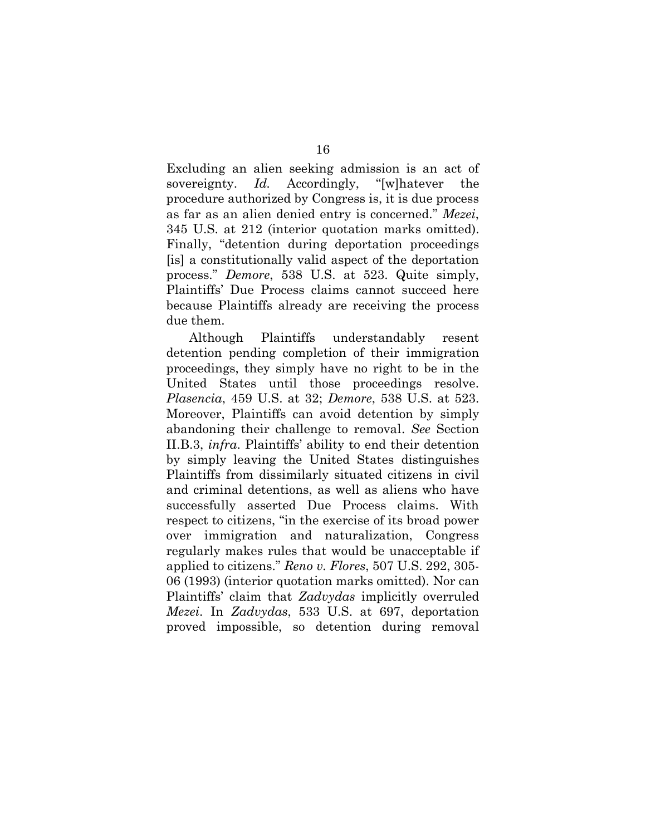Excluding an alien seeking admission is an act of sovereignty. *Id.* Accordingly, "[w]hatever the procedure authorized by Congress is, it is due process as far as an alien denied entry is concerned." *Mezei*, 345 U.S. at 212 (interior quotation marks omitted). Finally, "detention during deportation proceedings [is] a constitutionally valid aspect of the deportation process." *Demore*, 538 U.S. at 523. Quite simply, Plaintiffs' Due Process claims cannot succeed here because Plaintiffs already are receiving the process due them.

Although Plaintiffs understandably resent detention pending completion of their immigration proceedings, they simply have no right to be in the United States until those proceedings resolve. *Plasencia*, 459 U.S. at 32; *Demore*, 538 U.S. at 523. Moreover, Plaintiffs can avoid detention by simply abandoning their challenge to removal. *See* Section [II.B.3,](#page-24-0) *infra*. Plaintiffs' ability to end their detention by simply leaving the United States distinguishes Plaintiffs from dissimilarly situated citizens in civil and criminal detentions, as well as aliens who have successfully asserted Due Process claims. With respect to citizens, "in the exercise of its broad power over immigration and naturalization, Congress regularly makes rules that would be unacceptable if applied to citizens." *Reno v. Flores*, 507 U.S. 292, 305- 06 (1993) (interior quotation marks omitted). Nor can Plaintiffs' claim that *Zadvydas* implicitly overruled *Mezei*. In *Zadvydas*, 533 U.S. at 697, deportation proved impossible, so detention during removal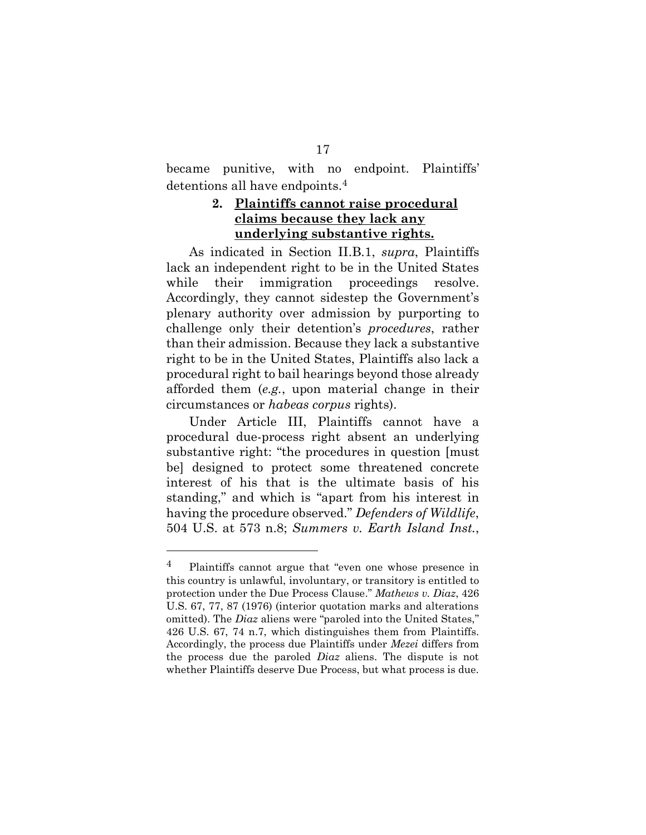<span id="page-23-0"></span>became punitive, with no endpoint. Plaintiffs' detentions all have endpoints.<sup>4</sup>

### **2. Plaintiffs cannot raise procedural claims because they lack any underlying substantive rights.**

As indicated in Section [II.B.1,](#page-21-0) *supra*, Plaintiffs lack an independent right to be in the United States while their immigration proceedings resolve. Accordingly, they cannot sidestep the Government's plenary authority over admission by purporting to challenge only their detention's *procedures*, rather than their admission. Because they lack a substantive right to be in the United States, Plaintiffs also lack a procedural right to bail hearings beyond those already afforded them (*e.g.*, upon material change in their circumstances or *habeas corpus* rights).

Under Article III, Plaintiffs cannot have a procedural due-process right absent an underlying substantive right: "the procedures in question [must be] designed to protect some threatened concrete interest of his that is the ultimate basis of his standing," and which is "apart from his interest in having the procedure observed." *Defenders of Wildlife*, 504 U.S. at 573 n.8; *Summers v. Earth Island Inst.*,

<sup>4</sup> Plaintiffs cannot argue that "even one whose presence in this country is unlawful, involuntary, or transitory is entitled to protection under the Due Process Clause." *Mathews v. Diaz*, 426 U.S. 67, 77, 87 (1976) (interior quotation marks and alterations omitted). The *Diaz* aliens were "paroled into the United States," 426 U.S. 67, 74 n.7, which distinguishes them from Plaintiffs. Accordingly, the process due Plaintiffs under *Mezei* differs from the process due the paroled *Diaz* aliens. The dispute is not whether Plaintiffs deserve Due Process, but what process is due.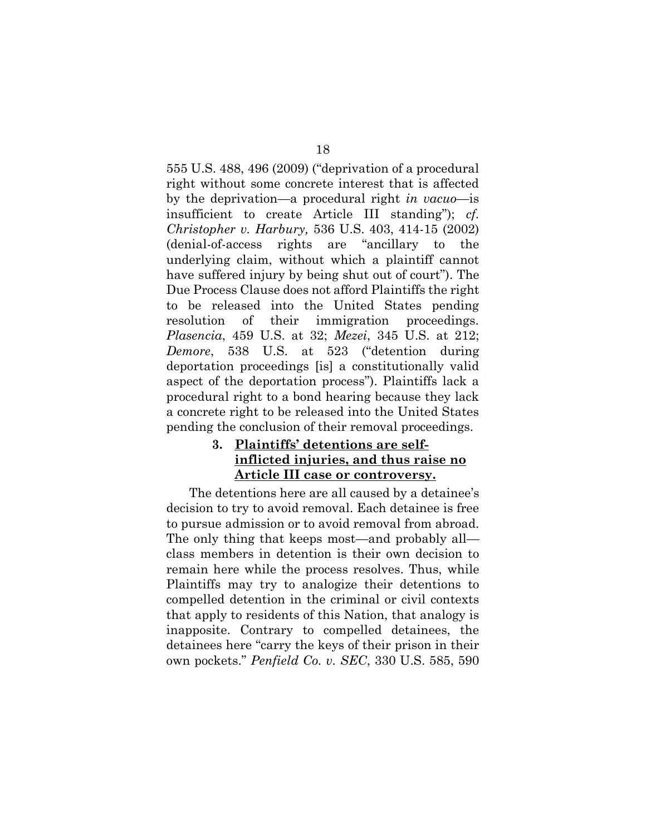555 U.S. 488, 496 (2009) ("deprivation of a procedural right without some concrete interest that is affected by the deprivation—a procedural right *in vacuo*—is insufficient to create Article III standing"); *cf. Christopher v. Harbury,* 536 U.S. 403, 414-15 (2002) (denial-of-access rights are "ancillary to the underlying claim, without which a plaintiff cannot have suffered injury by being shut out of court"). The Due Process Clause does not afford Plaintiffs the right to be released into the United States pending resolution of their immigration proceedings. *Plasencia*, 459 U.S. at 32; *Mezei*, 345 U.S. at 212; *Demore*, 538 U.S. at 523 ("detention during deportation proceedings [is] a constitutionally valid aspect of the deportation process"). Plaintiffs lack a procedural right to a bond hearing because they lack a concrete right to be released into the United States pending the conclusion of their removal proceedings.

# <span id="page-24-0"></span>**3. Plaintiffs' detentions are selfinflicted injuries, and thus raise no Article III case or controversy.**

The detentions here are all caused by a detainee's decision to try to avoid removal. Each detainee is free to pursue admission or to avoid removal from abroad. The only thing that keeps most—and probably all class members in detention is their own decision to remain here while the process resolves. Thus, while Plaintiffs may try to analogize their detentions to compelled detention in the criminal or civil contexts that apply to residents of this Nation, that analogy is inapposite. Contrary to compelled detainees, the detainees here "carry the keys of their prison in their own pockets." *Penfield Co. v. SEC*, 330 U.S. 585, 590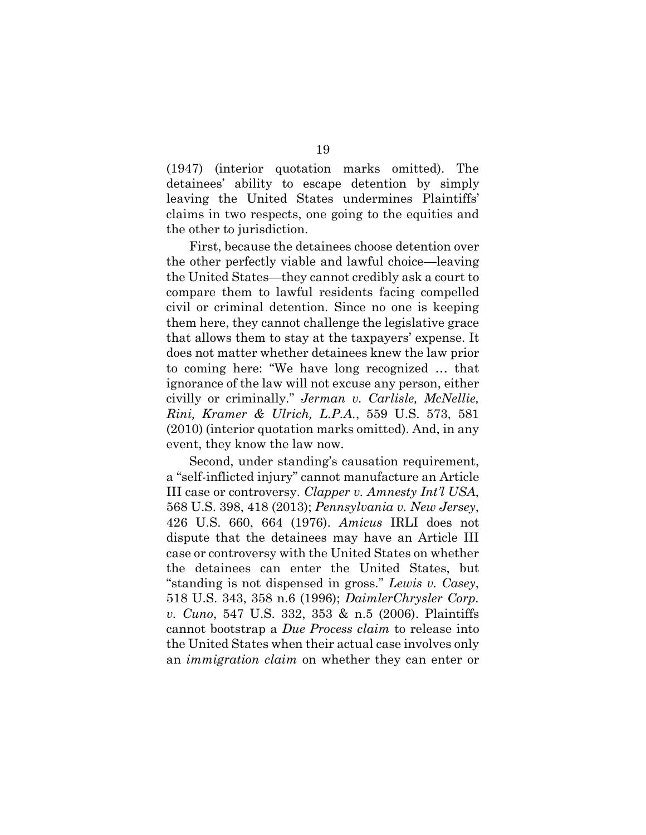(1947) (interior quotation marks omitted). The detainees' ability to escape detention by simply leaving the United States undermines Plaintiffs' claims in two respects, one going to the equities and the other to jurisdiction.

First, because the detainees choose detention over the other perfectly viable and lawful choice—leaving the United States—they cannot credibly ask a court to compare them to lawful residents facing compelled civil or criminal detention. Since no one is keeping them here, they cannot challenge the legislative grace that allows them to stay at the taxpayers' expense. It does not matter whether detainees knew the law prior to coming here: "We have long recognized … that ignorance of the law will not excuse any person, either civilly or criminally." *Jerman v. Carlisle, McNellie, Rini, Kramer & Ulrich, L.P.A.*, 559 U.S. 573, 581 (2010) (interior quotation marks omitted). And, in any event, they know the law now.

Second, under standing's causation requirement, a "self-inflicted injury" cannot manufacture an Article III case or controversy. *Clapper v. Amnesty Int'l USA*, 568 U.S. 398, 418 (2013); *Pennsylvania v. New Jersey*, 426 U.S. 660, 664 (1976). *Amicus* IRLI does not dispute that the detainees may have an Article III case or controversy with the United States on whether the detainees can enter the United States, but "standing is not dispensed in gross." *Lewis v. Casey*, 518 U.S. 343, 358 n.6 (1996); *DaimlerChrysler Corp. v. Cuno*, 547 U.S. 332, 353 & n.5 (2006). Plaintiffs cannot bootstrap a *Due Process claim* to release into the United States when their actual case involves only an *immigration claim* on whether they can enter or